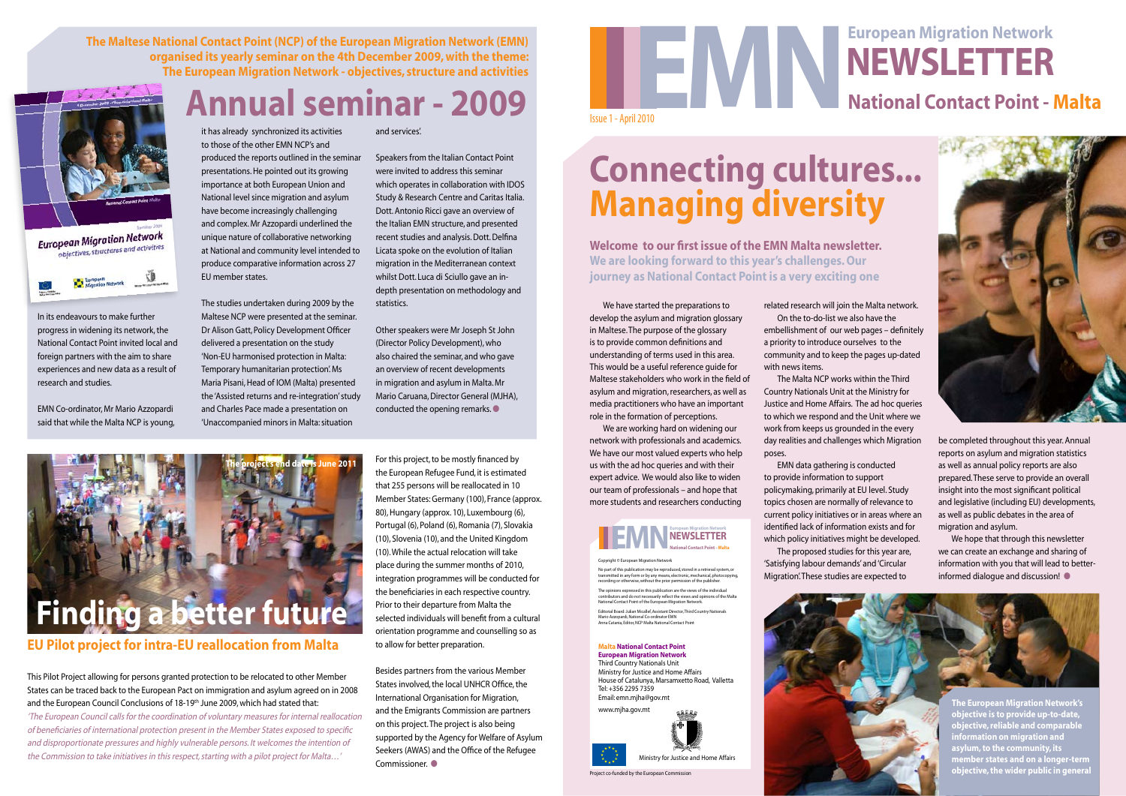Project co-funded by the European Commission





## **National Contact Point - Malta Newsletter**

In its endeavours to make further progress in widening its network, the National Contact Point invited local and foreign partners with the aim to share experiences and new data as a result of research and studies.

EMN Co-ordinator, Mr Mario Azzopardi said that while the Malta NCP is young,

it has already synchronized its activities to those of the other EMN NCP's and produced the reports outlined in the seminar presentations. He pointed out its growing importance at both European Union and National level since migration and asylum have become increasingly challenging and complex. Mr Azzopardi underlined the unique nature of collaborative networking at National and community level intended to produce comparative information across 27 EU member states.

This Pilot Project allowing for persons granted protection to be relocated to other Member States can be traced back to the European Pact on immigration and asylum agreed on in 2008 and the European Council Conclusions of 18-19<sup>th</sup> June 2009, which had stated that:

The studies undertaken during 2009 by the Maltese NCP were presented at the seminar. Dr Alison Gatt, Policy Development Officer delivered a presentation on the study 'Non-EU harmonised protection in Malta: Temporary humanitarian protection'. Ms Maria Pisani, Head of IOM (Malta) presented the 'Assisted returns and re-integration' study and Charles Pace made a presentation on 'Unaccompanied minors in Malta: situation

**Annual seminar - 2009**

Besides partners from the various Member States involved, the local UNHCR Office, the International Organisation for Migration, and the Emigrants Commission are partners on this project. The project is also being supported by the Agency for Welfare of Asylum Seekers (AWAS) and the Office of the Refugee Commissioner.  $\bullet$ 

**The Maltese National Contact Point (NCP) of the European Migration Network (EMN) organised its yearly seminar on the 4th December 2009, with the theme: The European Migration Network - objectives, structure and activities**





Other speakers were Mr Joseph St John (Director Policy Development), who also chaired the seminar, and who gave an overview of recent developments in migration and asylum in Malta. Mr Mario Caruana, Director General (MJHA), conducted the opening remarks. $\bullet$ 

'The European Council calls for the coordination of voluntary measures for internal reallocation of beneficiaries of international protection present in the Member States exposed to specific and disproportionate pressures and highly vulnerable persons. It welcomes the intention of the Commission to take initiatives in this respect, starting with a pilot project for Malta…'

#### **EU Pilot project for intra-EU reallocation from Malta**

For this project, to be mostly financed by the European Refugee Fund, it is estimated that 255 persons will be reallocated in 10 Member States: Germany (100), France (approx. 80), Hungary (approx. 10), Luxembourg (6), Portugal (6), Poland (6), Romania (7), Slovakia (10), Slovenia (10), and the United Kingdom (10). While the actual relocation will take place during the summer months of 2010, integration programmes will be conducted for the beneficiaries in each respective country. Prior to their departure from Malta the selected individuals will benefit from a cultural orientation programme and counselling so as to allow for better preparation.



No part of this publication may be reproduced, stored in a retrieval system, or<br>transmitted in any form or by any means, electronic, mechanical, photocopying,<br>recording or otherwise, without the prior permission of the pub The opinions expressed in this publication are the views of the individual contributors and do not necessarily reflect the views and opinions of the Malta National Contact Point of the European Migration Network. Editorial Board: Julian Micallef, Assistant Director, Third Country Nationals Mario Azzopardi, National Co-ordinator EMN Anna Catania, Editor, NCP Malta National Contact Point

and services'.

#### **EMPLETTER**<br>
NEWSLETTER<br>
National Contact Point - Malta **European Migration Network**

Speakers from the Italian Contact Point were invited to address this seminar which operates in collaboration with IDOS Study & Research Centre and Caritas Italia. Dott. Antonio Ricci gave an overview of the Italian EMN structure, and presented recent studies and analysis. Dott. Delfina Licata spoke on the evolution of Italian migration in the Mediterranean context whilst Dott. Luca di Sciullo gave an indepth presentation on methodology and statistics.

> We hope that through this newsletter we can create an exchange and sharing of information with you that will lead to betterinformed dialogue and discussion!  $\bullet$

We have started the preparations to develop the asylum and migration glossary in Maltese. The purpose of the glossary is to provide common definitions and understanding of terms used in this area. This would be a useful reference guide for Maltese stakeholders who work in the field of asylum and migration, researchers, as well as media practitioners who have an important role in the formation of perceptions.

We are working hard on widening our network with professionals and academics. We have our most valued experts who help us with the ad hoc queries and with their expert advice. We would also like to widen our team of professionals – and hope that more students and researchers conducting

## **Connecting cultures... Managing diversity**

**Welcome to our first issue of the EMN Malta newsletter. We are looking forward to this year's challenges. Our journey as National Contact Point is a very exciting one**

related research will join the Malta network.



On the to-do-list we also have the embellishment of our web pages – definitely a priority to introduce ourselves to the community and to keep the pages up-dated with news items.

The Malta NCP works within the Third Country Nationals Unit at the Ministry for Justice and Home Affairs. The ad hoc queries to which we respond and the Unit where we work from keeps us grounded in the every day realities and challenges which Migration poses.

to provide information to support topics chosen are normally of relevance to



EMN data gathering is conducted policymaking, primarily at EU level. Study current policy initiatives or in areas where an identified lack of information exists and for which policy initiatives might be developed. The proposed studies for this year are, 'Satisfying labour demands' and 'Circular Migration'. These studies are expected to

Copyright © European Migration Network

#### **Malta National Contact Point European Migration Network**

Third Country Nationals Unit Ministry for Justice and Home Affairs House of Catalunya, Marsamxetto Road, Valletta Tel: +356 2295 7359 Email: emn.mjha@gov.mt

www.mjha.gov.mt

be completed throughout this year. Annual reports on asylum and migration statistics as well as annual policy reports are also prepared. These serve to provide an overall insight into the most significant political and legislative (including EU) developments, as well as public debates in the area of migration and asylum.